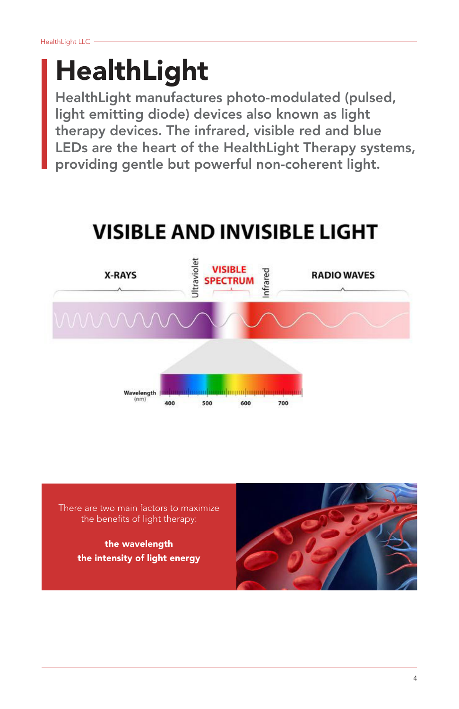# HealthLight

HealthLight manufactures photo-modulated (pulsed, light emitting diode) devices also known as light therapy devices. The infrared, visible red and blue LEDs are the heart of the HealthLight Therapy systems, providing gentle but powerful non-coherent light.

## **VISIBLE AND INVISIBLE LIGHT**



There are two main factors to maximize the benefits of light therapy:

> the wavelength the intensity of light energy

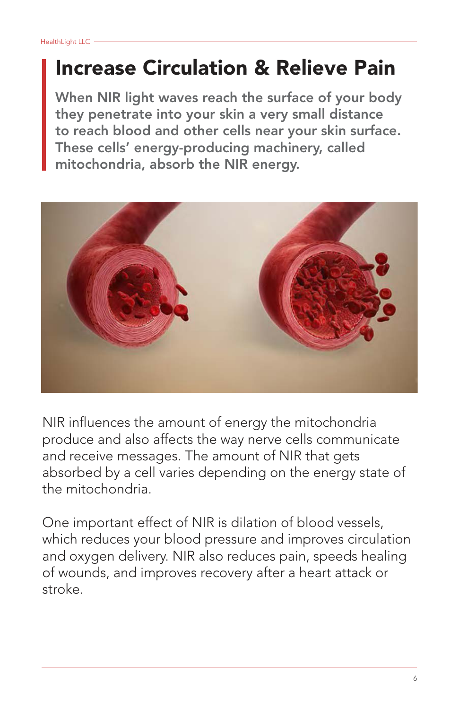### Increase Circulation & Relieve Pain

When NIR light waves reach the surface of your body they penetrate into your skin a very small distance to reach blood and other cells near your skin surface. These cells' energy-producing machinery, called mitochondria, absorb the NIR energy.



NIR influences the amount of energy the mitochondria produce and also affects the way nerve cells communicate and receive messages. The amount of NIR that gets absorbed by a cell varies depending on the energy state of the mitochondria.

One important effect of NIR is dilation of blood vessels, which reduces your blood pressure and improves circulation and oxygen delivery. NIR also reduces pain, speeds healing of wounds, and improves recovery after a heart attack or stroke.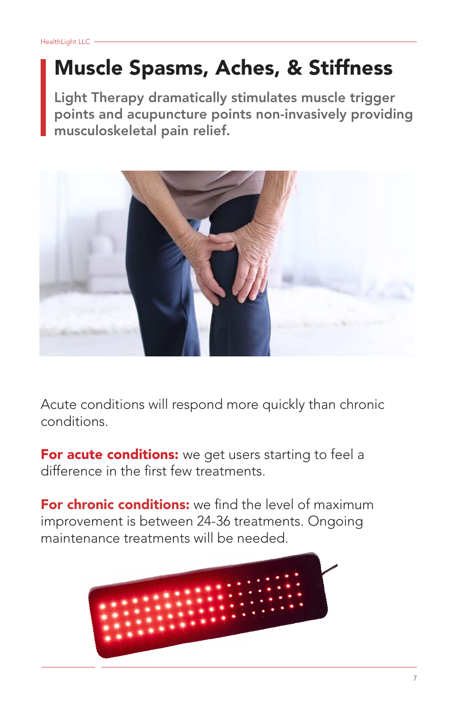### Muscle Spasms, Aches, & Stiffness

Light Therapy dramatically stimulates muscle trigger points and acupuncture points non-invasively providing musculoskeletal pain relief.



Acute conditions will respond more quickly than chronic conditions.

For acute conditions: we get users starting to feel a difference in the first few treatments.

For chronic conditions: we find the level of maximum improvement is between 24-36 treatments. Ongoing maintenance treatments will be needed.

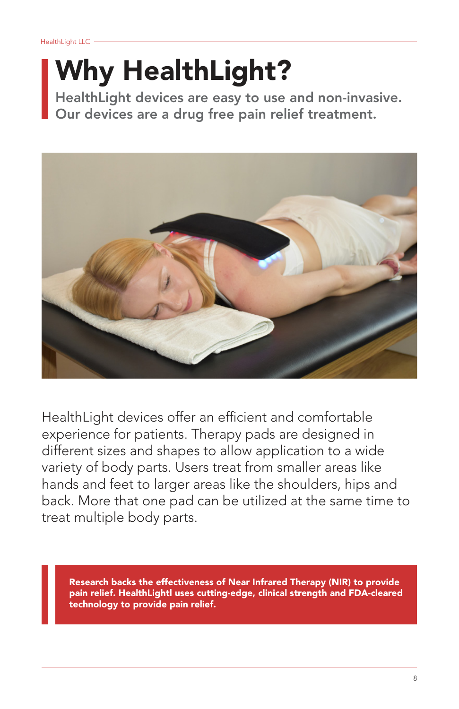# Why HealthLight?

HealthLight devices are easy to use and non-invasive. Our devices are a drug free pain relief treatment.



HealthLight devices offer an efficient and comfortable experience for patients. Therapy pads are designed in different sizes and shapes to allow application to a wide variety of body parts. Users treat from smaller areas like hands and feet to larger areas like the shoulders, hips and back. More that one pad can be utilized at the same time to treat multiple body parts.

Research backs the effectiveness of Near Infrared Therapy (NIR) to provide pain relief. HealthLightl uses cutting-edge, clinical strength and FDA-cleared technology to provide pain relief.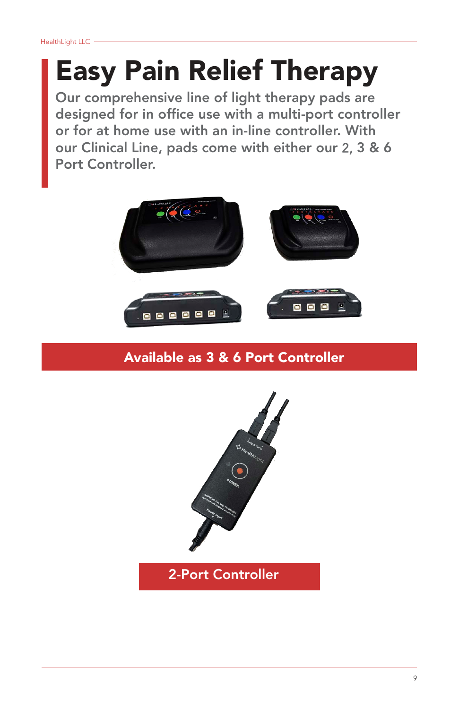## Easy Pain Relief Therapy

Our comprehensive line of light therapy pads are designed for in office use with a multi-port controller or for at home use with an in-line controller. With our Clinical Line, pads come with either our 2, 3 & 6 Port Controller.



#### Available as 3 & 6 Port Controller



2-Port Controller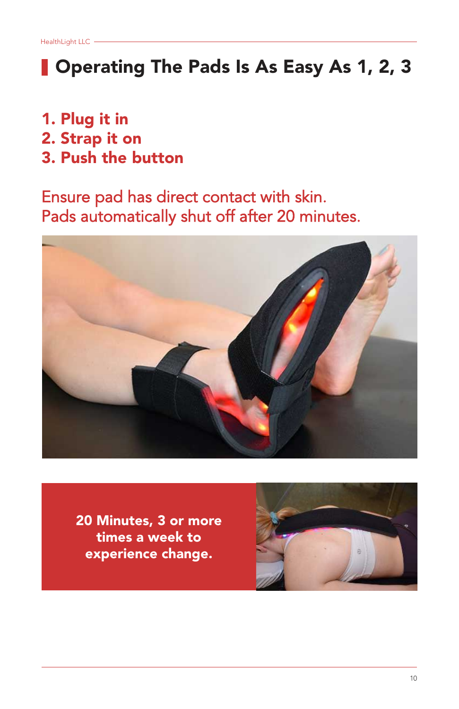### **Operating The Pads Is As Easy As 1, 2, 3**

- 1. Plug it in
- 2. Strap it on
- 3. Push the button

Ensure pad has direct contact with skin. Pads automatically shut off after 20 minutes.



20 Minutes, 3 or more times a week to experience change.

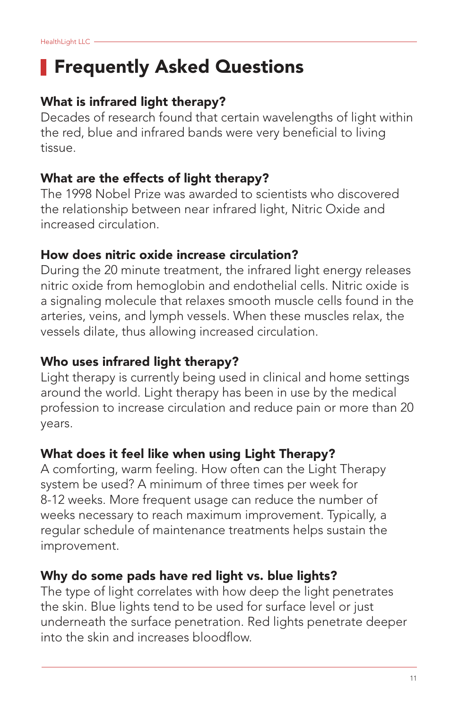### **Frequently Asked Questions**

#### What is infrared light therapy?

Decades of research found that certain wavelengths of light within the red, blue and infrared bands were very beneficial to living tissue.

#### What are the effects of light therapy?

The 1998 Nobel Prize was awarded to scientists who discovered the relationship between near infrared light, Nitric Oxide and increased circulation.

#### How does nitric oxide increase circulation?

During the 20 minute treatment, the infrared light energy releases nitric oxide from hemoglobin and endothelial cells. Nitric oxide is a signaling molecule that relaxes smooth muscle cells found in the arteries, veins, and lymph vessels. When these muscles relax, the vessels dilate, thus allowing increased circulation.

#### Who uses infrared light therapy?

Light therapy is currently being used in clinical and home settings around the world. Light therapy has been in use by the medical profession to increase circulation and reduce pain or more than 20 years.

#### What does it feel like when using Light Therapy?

A comforting, warm feeling. How often can the Light Therapy system be used? A minimum of three times per week for 8-12 weeks. More frequent usage can reduce the number of weeks necessary to reach maximum improvement. Typically, a regular schedule of maintenance treatments helps sustain the improvement.

#### Why do some pads have red light vs. blue lights?

The type of light correlates with how deep the light penetrates the skin. Blue lights tend to be used for surface level or just underneath the surface penetration. Red lights penetrate deeper into the skin and increases bloodflow.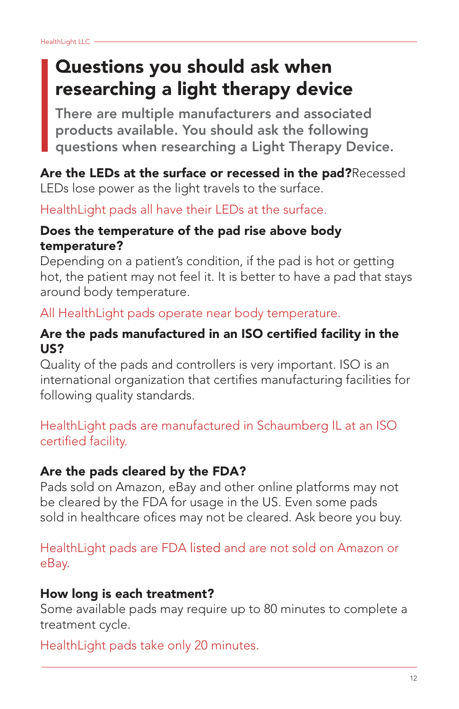### Questions you should ask when researching a light therapy device

There are multiple manufacturers and associated products available. You should ask the following questions when researching a Light Therapy Device.

#### Are the LEDs at the surface or recessed in the pad?Recessed LEDs lose power as the light travels to the surface.

HealthLight pads all have their LEDs at the surface.

#### Does the temperature of the pad rise above body temperature?

Depending on a patient's condition, if the pad is hot or getting hot, the patient may not feel it. It is better to have a pad that stays around body temperature.

All HealthLight pads operate near body temperature.

#### Are the pads manufactured in an ISO certified facility in the US?

Quality of the pads and controllers is very important. ISO is an international organization that certifies manufacturing facilities for following quality standards.

HealthLight pads are manufactured in Schaumberg IL at an ISO certified facility.

#### Are the pads cleared by the FDA?

Pads sold on Amazon, eBay and other online platforms may not be cleared by the FDA for usage in the US. Even some pads sold in healthcare ofices may not be cleared. Ask beore you buy.

HealthLight pads are FDA listed and are not sold on Amazon or eBay.

#### How long is each treatment?

Some available pads may require up to 80 minutes to complete a treatment cycle.

HealthLight pads take only 20 minutes.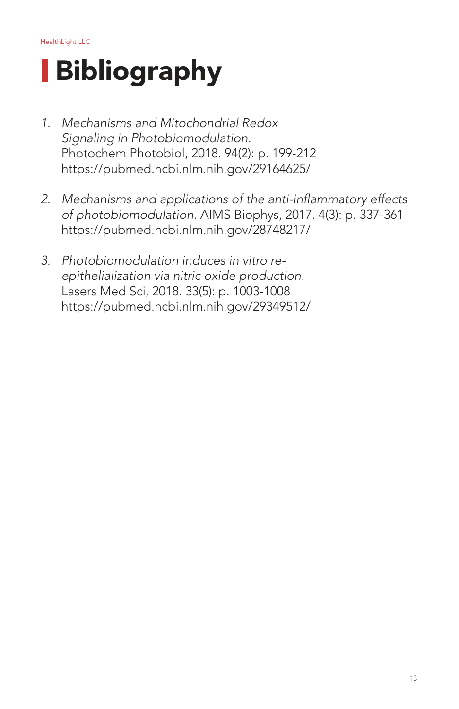# Bibliography

- 1. Mechanisms and Mitochondrial Redox Signaling in Photobiomodulation. Photochem Photobiol, 2018. 94(2): p. 199-212 https://pubmed.ncbi.nlm.nih.gov/29164625/
- 2. Mechanisms and applications of the anti-inflammatory effects of photobiomodulation. AIMS Biophys, 2017. 4(3): p. 337-361 https://pubmed.ncbi.nlm.nih.gov/28748217/
- 3. Photobiomodulation induces in vitro reepithelialization via nitric oxide production. Lasers Med Sci, 2018. 33(5): p. 1003-1008 https://pubmed.ncbi.nlm.nih.gov/29349512/